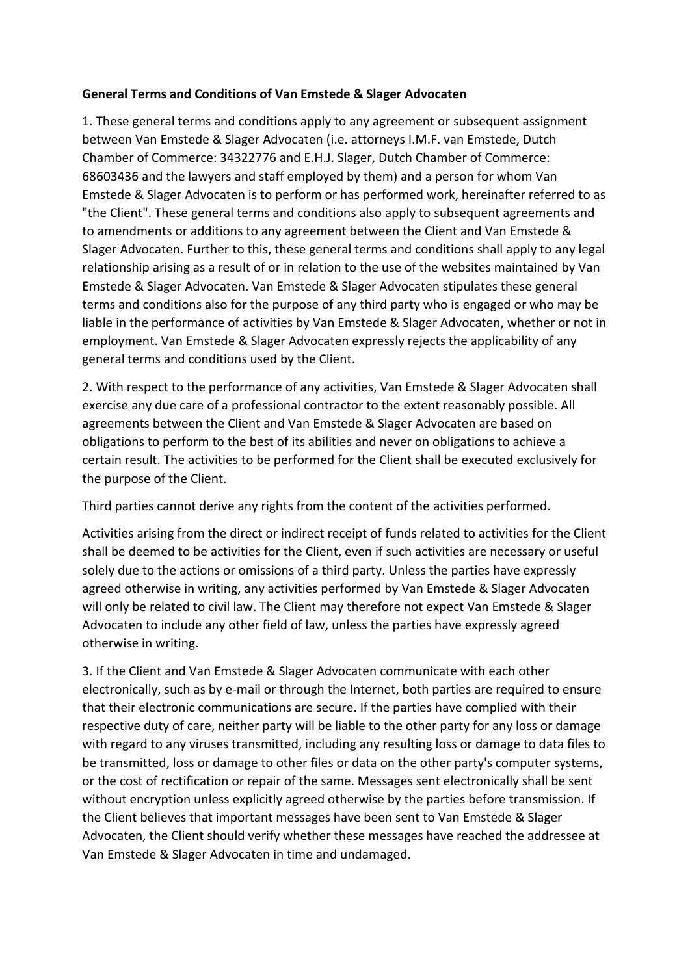### **General Terms and Conditions of Van Emstede & Slager Advocaten**

1. These general terms and conditions apply to any agreement or subsequent assignment between Van Emstede & Slager Advocaten (i.e. attorneys I.M.F. van Emstede, Dutch Chamber of Commerce: 34322776 and E.H.J. Slager, Dutch Chamber of Commerce: 68603436 and the lawyers and staff employed by them) and a person for whom Van Emstede & Slager Advocaten is to perform or has performed work, hereinafter referred to as "the Client". These general terms and conditions also apply to subsequent agreements and to amendments or additions to any agreement between the Client and Van Emstede & Slager Advocaten. Further to this, these general terms and conditions shall apply to any legal relationship arising as a result of or in relation to the use of the websites maintained by Van Emstede & Slager Advocaten. Van Emstede & Slager Advocaten stipulates these general terms and conditions also for the purpose of any third party who is engaged or who may be liable in the performance of activities by Van Emstede & Slager Advocaten, whether or not in employment. Van Emstede & Slager Advocaten expressly rejects the applicability of any general terms and conditions used by the Client.

2. With respect to the performance of any activities, Van Emstede & Slager Advocaten shall exercise any due care of a professional contractor to the extent reasonably possible. All agreements between the Client and Van Emstede & Slager Advocaten are based on obligations to perform to the best of its abilities and never on obligations to achieve a certain result. The activities to be performed for the Client shall be executed exclusively for the purpose of the Client.

Third parties cannot derive any rights from the content of the activities performed.

Activities arising from the direct or indirect receipt of funds related to activities for the Client shall be deemed to be activities for the Client, even if such activities are necessary or useful solely due to the actions or omissions of a third party. Unless the parties have expressly agreed otherwise in writing, any activities performed by Van Emstede & Slager Advocaten will only be related to civil law. The Client may therefore not expect Van Emstede & Slager Advocaten to include any other field of law, unless the parties have expressly agreed otherwise in writing.

3. If the Client and Van Emstede & Slager Advocaten communicate with each other electronically, such as by e-mail or through the Internet, both parties are required to ensure that their electronic communications are secure. If the parties have complied with their respective duty of care, neither party will be liable to the other party for any loss or damage with regard to any viruses transmitted, including any resulting loss or damage to data files to be transmitted, loss or damage to other files or data on the other party's computer systems, or the cost of rectification or repair of the same. Messages sent electronically shall be sent without encryption unless explicitly agreed otherwise by the parties before transmission. If the Client believes that important messages have been sent to Van Emstede & Slager Advocaten, the Client should verify whether these messages have reached the addressee at Van Emstede & Slager Advocaten in time and undamaged.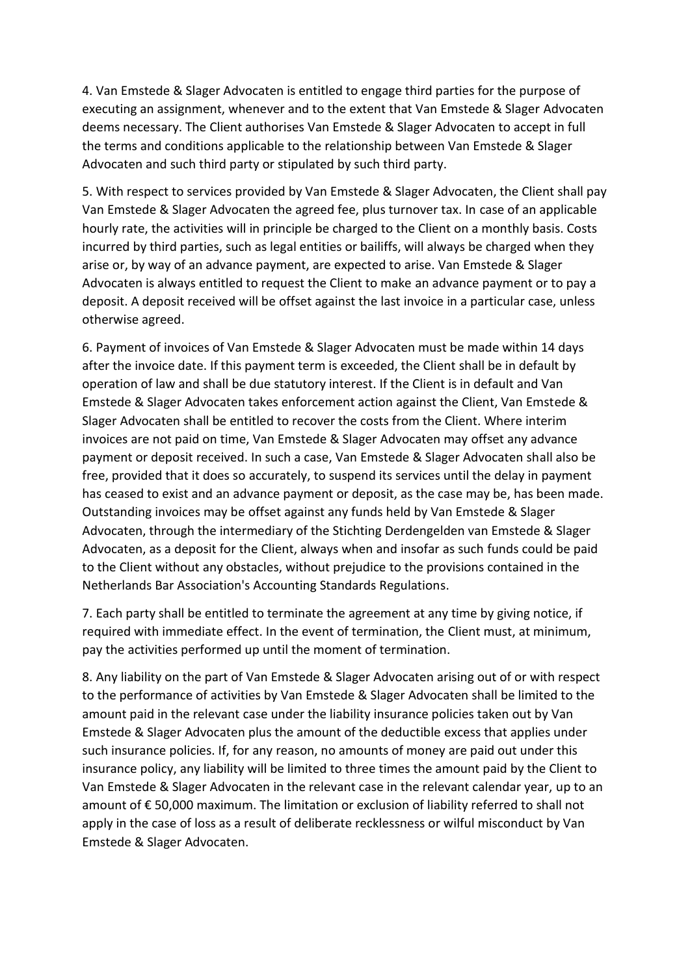4. Van Emstede & Slager Advocaten is entitled to engage third parties for the purpose of executing an assignment, whenever and to the extent that Van Emstede & Slager Advocaten deems necessary. The Client authorises Van Emstede & Slager Advocaten to accept in full the terms and conditions applicable to the relationship between Van Emstede & Slager Advocaten and such third party or stipulated by such third party.

5. With respect to services provided by Van Emstede & Slager Advocaten, the Client shall pay Van Emstede & Slager Advocaten the agreed fee, plus turnover tax. In case of an applicable hourly rate, the activities will in principle be charged to the Client on a monthly basis. Costs incurred by third parties, such as legal entities or bailiffs, will always be charged when they arise or, by way of an advance payment, are expected to arise. Van Emstede & Slager Advocaten is always entitled to request the Client to make an advance payment or to pay a deposit. A deposit received will be offset against the last invoice in a particular case, unless otherwise agreed.

6. Payment of invoices of Van Emstede & Slager Advocaten must be made within 14 days after the invoice date. If this payment term is exceeded, the Client shall be in default by operation of law and shall be due statutory interest. If the Client is in default and Van Emstede & Slager Advocaten takes enforcement action against the Client, Van Emstede & Slager Advocaten shall be entitled to recover the costs from the Client. Where interim invoices are not paid on time, Van Emstede & Slager Advocaten may offset any advance payment or deposit received. In such a case, Van Emstede & Slager Advocaten shall also be free, provided that it does so accurately, to suspend its services until the delay in payment has ceased to exist and an advance payment or deposit, as the case may be, has been made. Outstanding invoices may be offset against any funds held by Van Emstede & Slager Advocaten, through the intermediary of the Stichting Derdengelden van Emstede & Slager Advocaten, as a deposit for the Client, always when and insofar as such funds could be paid to the Client without any obstacles, without prejudice to the provisions contained in the Netherlands Bar Association's Accounting Standards Regulations.

7. Each party shall be entitled to terminate the agreement at any time by giving notice, if required with immediate effect. In the event of termination, the Client must, at minimum, pay the activities performed up until the moment of termination.

8. Any liability on the part of Van Emstede & Slager Advocaten arising out of or with respect to the performance of activities by Van Emstede & Slager Advocaten shall be limited to the amount paid in the relevant case under the liability insurance policies taken out by Van Emstede & Slager Advocaten plus the amount of the deductible excess that applies under such insurance policies. If, for any reason, no amounts of money are paid out under this insurance policy, any liability will be limited to three times the amount paid by the Client to Van Emstede & Slager Advocaten in the relevant case in the relevant calendar year, up to an amount of € 50,000 maximum. The limitation or exclusion of liability referred to shall not apply in the case of loss as a result of deliberate recklessness or wilful misconduct by Van Emstede & Slager Advocaten.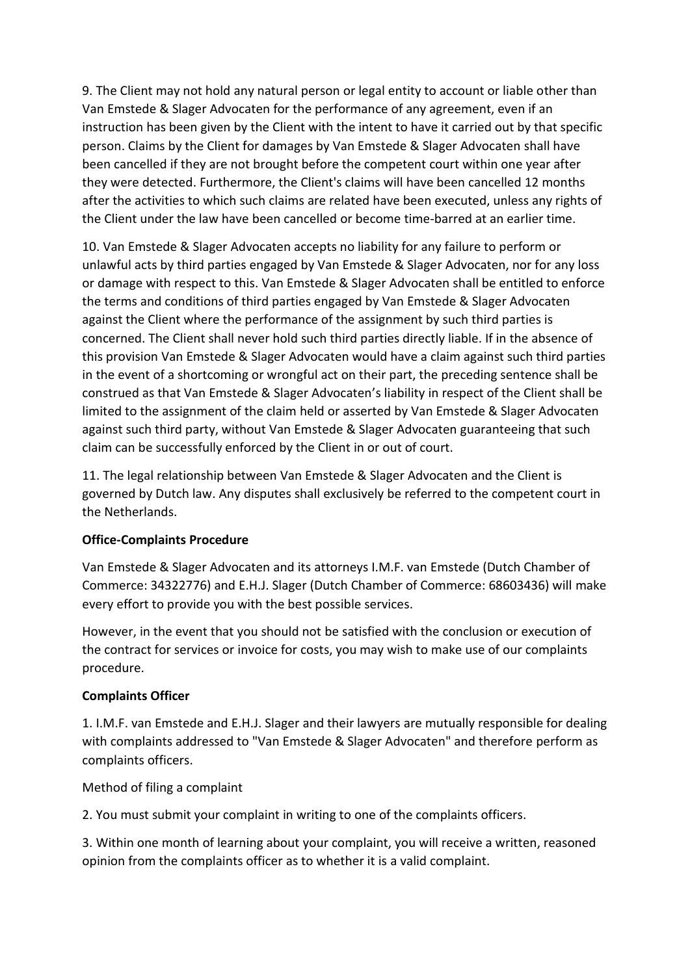9. The Client may not hold any natural person or legal entity to account or liable other than Van Emstede & Slager Advocaten for the performance of any agreement, even if an instruction has been given by the Client with the intent to have it carried out by that specific person. Claims by the Client for damages by Van Emstede & Slager Advocaten shall have been cancelled if they are not brought before the competent court within one year after they were detected. Furthermore, the Client's claims will have been cancelled 12 months after the activities to which such claims are related have been executed, unless any rights of the Client under the law have been cancelled or become time-barred at an earlier time.

10. Van Emstede & Slager Advocaten accepts no liability for any failure to perform or unlawful acts by third parties engaged by Van Emstede & Slager Advocaten, nor for any loss or damage with respect to this. Van Emstede & Slager Advocaten shall be entitled to enforce the terms and conditions of third parties engaged by Van Emstede & Slager Advocaten against the Client where the performance of the assignment by such third parties is concerned. The Client shall never hold such third parties directly liable. If in the absence of this provision Van Emstede & Slager Advocaten would have a claim against such third parties in the event of a shortcoming or wrongful act on their part, the preceding sentence shall be construed as that Van Emstede & Slager Advocaten's liability in respect of the Client shall be limited to the assignment of the claim held or asserted by Van Emstede & Slager Advocaten against such third party, without Van Emstede & Slager Advocaten guaranteeing that such claim can be successfully enforced by the Client in or out of court.

11. The legal relationship between Van Emstede & Slager Advocaten and the Client is governed by Dutch law. Any disputes shall exclusively be referred to the competent court in the Netherlands.

### **Office-Complaints Procedure**

Van Emstede & Slager Advocaten and its attorneys I.M.F. van Emstede (Dutch Chamber of Commerce: 34322776) and E.H.J. Slager (Dutch Chamber of Commerce: 68603436) will make every effort to provide you with the best possible services.

However, in the event that you should not be satisfied with the conclusion or execution of the contract for services or invoice for costs, you may wish to make use of our complaints procedure.

#### **Complaints Officer**

1. I.M.F. van Emstede and E.H.J. Slager and their lawyers are mutually responsible for dealing with complaints addressed to "Van Emstede & Slager Advocaten" and therefore perform as complaints officers.

Method of filing a complaint

2. You must submit your complaint in writing to one of the complaints officers.

3. Within one month of learning about your complaint, you will receive a written, reasoned opinion from the complaints officer as to whether it is a valid complaint.